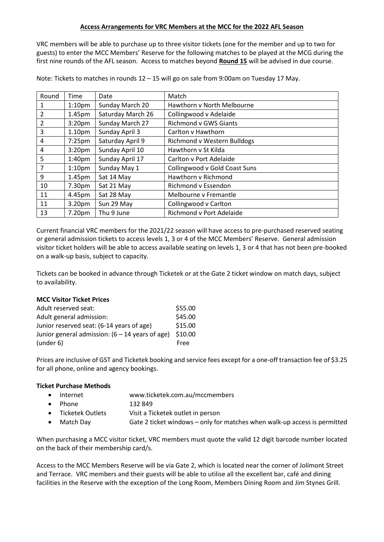## **Access Arrangements for VRC Members at the MCC for the 2022 AFL Season**

VRC members will be able to purchase up to three visitor tickets (one for the member and up to two for guests) to enter the MCC Members' Reserve for the following matches to be played at the MCG during the first nine rounds of the AFL season. Access to matches beyond **Round 15** will be advised in due course.

Note: Tickets to matches in rounds 12 – 15 will go on sale from 9:00am on Tuesday 17 May.

| Round | Time               | Date              | Match                         |
|-------|--------------------|-------------------|-------------------------------|
| 1     | 1:10 <sub>pm</sub> | Sunday March 20   | Hawthorn v North Melbourne    |
| 2     | 1.45pm             | Saturday March 26 | Collingwood v Adelaide        |
| 2     | 3:20 <sub>pm</sub> | Sunday March 27   | <b>Richmond v GWS Giants</b>  |
| 3     | 1.10 <sub>pm</sub> | Sunday April 3    | Carlton v Hawthorn            |
| 4     | 7:25pm             | Saturday April 9  | Richmond v Western Bulldogs   |
| 4     | 3:20 <sub>pm</sub> | Sunday April 10   | Hawthorn v St Kilda           |
| 5     | 1:40 <sub>pm</sub> | Sunday April 17   | Carlton v Port Adelaide       |
| 7     | 1:10 <sub>pm</sub> | Sunday May 1      | Collingwood v Gold Coast Suns |
| 9     | 1.45 <sub>pm</sub> | Sat 14 May        | Hawthorn v Richmond           |
| 10    | 7.30pm             | Sat 21 May        | Richmond v Essendon           |
| 11    | 4.45pm             | Sat 28 May        | Melbourne v Fremantle         |
| 11    | 3.20pm             | Sun 29 May        | Collingwood v Carlton         |
| 13    | 7.20pm             | Thu 9 June        | Richmond v Port Adelaide      |

Current financial VRC members for the 2021/22 season will have access to pre-purchased reserved seating or general admission tickets to access levels 1, 3 or 4 of the MCC Members' Reserve. General admission visitor ticket holders will be able to access available seating on levels 1, 3 or 4 that has not been pre-booked on a walk-up basis, subject to capacity.

Tickets can be booked in advance through Ticketek or at the Gate 2 ticket window on match days, subject to availability.

## **MCC Visitor Ticket Prices**

| Adult reserved seat:                              | \$55.00     |
|---------------------------------------------------|-------------|
| Adult general admission:                          | \$45.00     |
| Junior reserved seat: (6-14 years of age)         | \$15.00     |
| Junior general admission: $(6 - 14$ years of age) | \$10.00     |
| (under 6)                                         | <b>Free</b> |

Prices are inclusive of GST and Ticketek booking and service fees except for a one-off transaction fee of \$3.25 for all phone, online and agency bookings.

## **Ticket Purchase Methods**

- Internet www.ticketek.com.au/mccmembers
- Phone 132 849 • Ticketek Outlets Visit a Ticketek outlet in person • Match Day Gate 2 ticket windows – only for matches when walk-up access is permitted

When purchasing a MCC visitor ticket, VRC members must quote the valid 12 digit barcode number located on the back of their membership card/s.

Access to the MCC Members Reserve will be via Gate 2, which is located near the corner of Jolimont Street and Terrace. VRC members and their guests will be able to utilise all the excellent bar, café and dining facilities in the Reserve with the exception of the Long Room, Members Dining Room and Jim Stynes Grill.